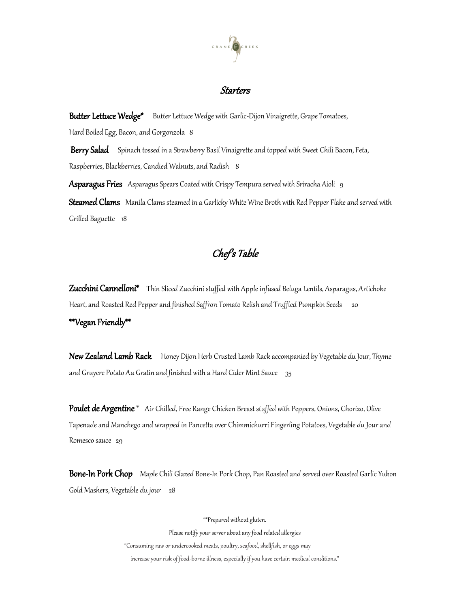

## Starters

Butter Lettuce Wedge\* Butter Lettuce Wedge with Garlic-Dijon Vinaigrette, Grape Tomatoes, Hard Boiled Egg, Bacon, and Gorgonzola 8

Berry Salad Spinach tossed in a Strawberry Basil Vinaigrette and topped with Sweet Chili Bacon, Feta, Raspberries, Blackberries, Candied Walnuts, and Radish 8

Asparagus Fries Asparagus Spears Coated with Crispy Tempura served with Sriracha Aioli 9 Steamed Clams Manila Clams steamed in a Garlicky White Wine Broth with Red Pepper Flake and served with Grilled Baguette 18

## Chef's Table

**Zucchini Cannelloni\*** Thin Sliced Zucchini stuffed with Apple infused Beluga Lentils, Asparagus, Artichoke Heart, and Roasted Red Pepper and finished Saffron Tomato Relish and Truffled Pumpkin Seeds 20 \*\*Vegan Friendly\*\*

New Zealand Lamb Rack Honey Dijon Herb Crusted Lamb Rack accompanied by Vegetable du Jour, Thyme and Gruyere Potato Au Gratin and finished with a Hard Cider Mint Sauce  $35$ 

Poulet de Argentine \* Air Chilled, Free Range Chicken Breast stuffed with Peppers, Onions, Chorizo, Olive Tapenade and Manchego and wrapped in Pancetta over Chimmichurri Fingerling Potatoes, Vegetable du Jour and Romesco sauce 29

Bone-In Pork Chop Maple Chili Glazed Bone-In Pork Chop, Pan Roasted and served over Roasted Garlic Yukon Gold Mashers, Vegetable du jour 28

"\*Prepared without gluten.

Please notify your server about any food related allergies

"Consuming raw or undercooked meats, poultry, seafood, shellfish, or eggs may

increase your risk of food-borne illness, especially if you have certain medical conditions."